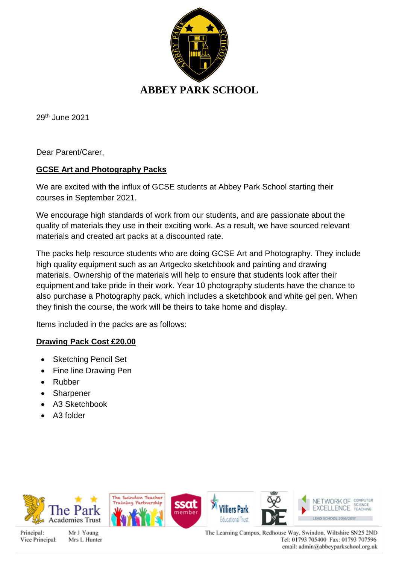

29th June 2021

Dear Parent/Carer,

### **GCSE Art and Photography Packs**

We are excited with the influx of GCSE students at Abbey Park School starting their courses in September 2021.

We encourage high standards of work from our students, and are passionate about the quality of materials they use in their exciting work. As a result, we have sourced relevant materials and created art packs at a discounted rate.

The packs help resource students who are doing GCSE Art and Photography. They include high quality equipment such as an Artgecko sketchbook and painting and drawing materials. Ownership of the materials will help to ensure that students look after their equipment and take pride in their work. Year 10 photography students have the chance to also purchase a Photography pack, which includes a sketchbook and white gel pen. When they finish the course, the work will be theirs to take home and display.

Items included in the packs are as follows:

### **Drawing Pack Cost £20.00**

- Sketching Pencil Set
- Fine line Drawing Pen
- Rubber
- **Sharpener**
- A3 Sketchbook
- A3 folder



Principal: Vice Principal:

Mr J Young Mrs L Hunter The Learning Campus, Redhouse Way, Swindon, Wiltshire SN25 2ND Tel: 01793 705400 Fax: 01793 707596 email: admin@abbeyparkschool.org.uk